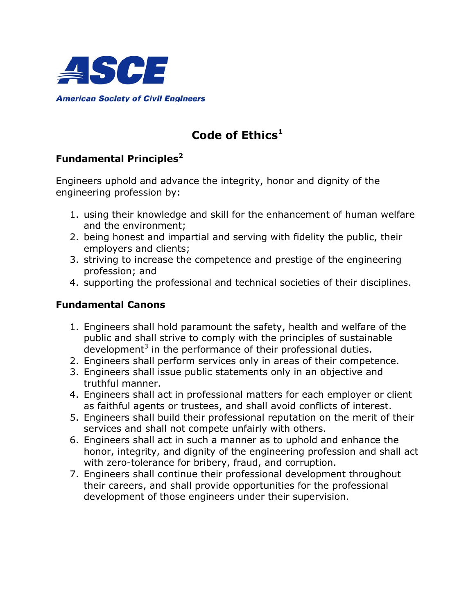

## Code of **Ethics**<sup>1</sup>

### **Fundamental Principles<sup>2</sup>**

Engineers uphold and advance the integrity, honor and dignity of the<br>engineering profession by:

- using their knowledge and skill for the enhancement of human welfare and the environment;
- being honest and impartial and serving with fidelity the public, their employers and clients;
- employers and clients;<br>striving to increase the competence and prestige of the engineering<br>profession: and
- profession; and<br>4. supporting the professional and technical societies of their disciplines.

#### **Fundamental Canons**

- Engineers shall hold paramount the safety, health and welfare of the Engineers shall hold paramount the safety, health and welfare of the<br>public and shall strive to comply with the principles of sustainable public and shall strive to comply with the principles of sustainable<br>development<sup>3</sup> in the performance of their professional duties.
- development<sup>3</sup> in the performance of their professional duties.<br>2. Engineers shall perform services only in areas of their competence. Engineers shall perform services only in areas of their competence.<br>Engineers shall issue public statements only in an obiective and
- ا 3. Engineers shall issue<br>truthful manner.
- truthful manner.<br>Engineers shall act in professional matters for each employer or client as faithful agents or trustees, and shall avoid conflicts of interest.
- as faithful agents or trustees, and shall avoid conflicts of interest.<br>Engineers shall build their professional reputation on the merit of their services and shall not compete unfairly with others.
- services and shall not compete unfairly with others.<br>Engineers shall act in such a manner as to uphold and enhance the Engineers shall act in such a manner as to uphold and enhance the<br>honor, integrity, and dignity of the engineering profession and shall act with zero-tolerance for bribery, fraud, and corruption.
- with zero-tolerance for bribery, fraud, and corruption.<br>Engineers shall continue their professional development throughout Engineers shall continue their professional development throughout<br>their careers, and shall provide opportunities for the professional<br>development of those engineers under their supervision.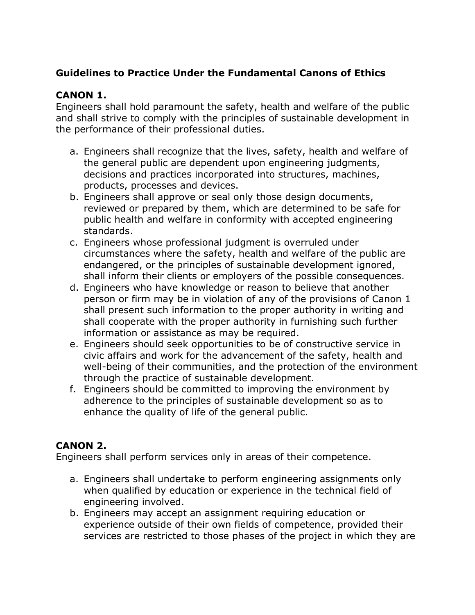### **to Practice Under the Fundamental Canons of Ethics**

#### **CANON 1.**

CANON 1.<br>Engineers shall hold paramount the safety, health and welfare of the public Engineers shall hold paramount the safety, health and welfare of the public<br>and shall strive to comply with the principles of sustainable development in<br>the performance of their professional duties.

- Engineers shall recognize that the lives, safety, health and welfare of the general public are dependent upon engineering judgments, the general public are dependent upon engineering judgments,<br>decisions and practices incorporated into structures, machines, decisions and practices incorporated ir<br>products, processes and devices. products, processes and devices.<br>b. Engineers shall approve or seal only those design documents,
- Engineers shall approve or seal only those design documents,<br>reviewed or prepared by them, which are determined to be safe for reviewed or prepared by them, which are determined to be safe for<br>public health and welfare in conformity with accepted engineering standards.
- standards.<br>Engineers whose professional judgment is overruled under Engineers whose professional judgment is overruled under<br>circumstances where the safety, health and welfare of the public are endangered, or the principles of sustainable development ignored, endangered, or the principles of sustainable development ignored,<br>shall inform their clients or employers of the possible consequences.
- shall inform their clients or employers of the possible consequences.<br>Engineers who have knowledge or reason to believe that another d. Engineers who have knowledge or reason to believe that another Engineers who have knowledge or reason to believe that another<br>person or firm may be in violation of any of the provisions of Canon 1 person or firm may be in violation of any of the provisions of Canon 1<br>shall present such information to the proper authority in writing and shall present such information to the proper authority in writing and<br>shall cooperate with the proper authority in furnishing such further information or assistance as may be required.
- information or assistance as may be required.<br>Engineers should seek opportunities to be of constructive service in Engineers should seek opportunities to be of constructive service in<br>civic affairs and work for the advancement of the safety, health and civic affairs and work for the advancement of the safety, health and<br>well-being of their communities, and the protection of the environment<br>through the practice of sustainable development.
- through the practice of sustainable development.<br>Engineers should be committed to improving the environment by Engineers should be committed to improving the environment by<br>adherence to the principles of sustainable development so as to enhance the quality of life of the general public.

## **CANON 2.**

Engineers shall perform services only in areas of their competence.

- Engineers shall undertake to perform engineering assignments only a. Engineers shall undertake to perform engineering assignments only<br>when qualified by education or experience in the technical field of<br>engineering involved.
- engineering involved.<br>Engineers may accept an assignment requiring education or Engineers may accept an assignment requiring education or<br>experience outside of their own fields of competence, provided their services are restricted to those phases of the project in which they are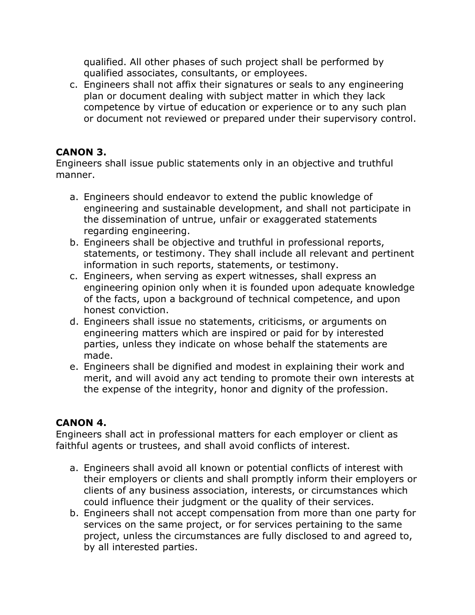qualified. All other phases of such project shall be performed by qualified associates, consultants, or employees.

qualified associates, consultants, or employees.<br>Engineers shall not affix their signatures or seals to any engineering Engineers shall not affix their signatures or seals to any engineering<br>plan or document dealing with subject matter in which they lack plan or document dealing with subject matter in which they lack<br>competence by virtue of education or experience or to any such plan or document not reviewed or prepared under their supervisory control.

### **CANON 3.**

CANON 3.<br>Engineers shall issue public statements only in an objective and truthful manner.

- Engineers should endeavor to extend the public knowledge of Engineers should endeavor to extend the public knowledge of<br>engineering and sustainable development, and shall not participate in<br>the dissemination of untrue, unfair or exaggerated statements the dissemination of untrue, unfair or exaggerated statements regarding engineering.
- b. Engineers shall be objective and truthful in professional reports, Engineers shall be objective and truthful in professional reports,<br>statements, or testimony. They shall include all relevant and pertinent information in such reports, statements, or testimony.
- information in such reports, statements, or testimony.<br>Engineers, when serving as expert witnesses, shall express an Engineers, when serving as expert witnesses, shall express an<br>engineering opinion only when it is founded upon adequate knowledge engineering opinion only when it is founded upon adequate knowledge<br>of the facts, upon a background of technical competence, and upon<br>honest conviction.
- honest conviction.<br>Engineers shall issue no statements, criticisms, or arguments on Engineers shall issue no statements, criticisms, or arguments on<br>engineering matters which are inspired or paid for by interested engineering matters which are inspired or paid for by interested<br>parties, unless they indicate on whose behalf the statements are made.
- made.<br>Engineers shall be dignified and modest in explaining their work and Engineers shall be dignified and modest in explaining their work and<br>merit, and will avoid any act tending to promote their own interests at the expense of the integrity, honor and dignity of the profession.

### **CANON 4.**

**CANON 4.**<br>Engineers shall act in professional matters for each employer or client as<br>faithful agents or trustees, and shall avoid conflicts of interest.

- Engineers shall avoid all known or potential conflicts of interest with Engineers shall avoid all known or potential conflicts of interest with<br>their employers or clients and shall promptly inform their employers or their employers or clients and shall promptly inform their employers or<br>clients of any business association, interests, or circumstances which could influence their judgment or the quality of their services.
- could influence their judgment or the quality of their services.<br>Engineers shall not accept compensation from more than one party for Engineers shall not accept compensation from more than one party for<br>services on the same project, or for services pertaining to the same project, unless the circumstances are fully disclosed to and agreed to, by all interested parties.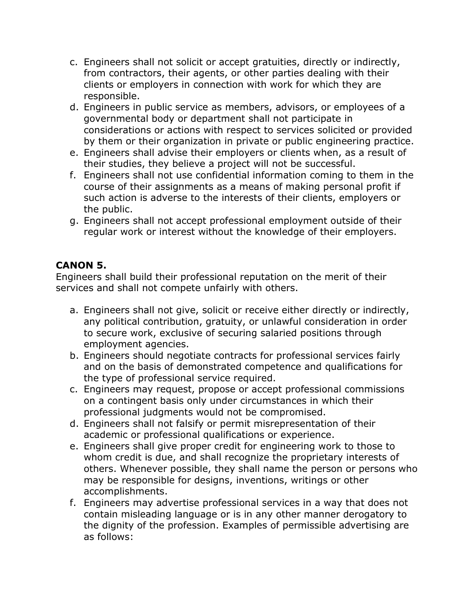- Engineers shall not solicit or accept gratuities, directly or indirectly, Engineers shall not solicit or accept gratuities, directly or indirectly,<br>from contractors, their agents, or other parties dealing with their from contractors, their agents, or other parties dealing with their<br>clients or employers in connection with work for which they are responsible.
- Engineers in public service as members, advisors, or employees of <sup>a</sup> governmental body or department shall not participate in governmental body or department shall not participate in governmental body or department shall not participate in<br>considerations or actions with respect to services solicited or provided by them or their organization in private or public engineering practice.
- by them or their organization in private or public engineering practice.<br>Engineers shall advise their employers or clients when, as a result of their studies, they believe a project will not be successful.
- their studies, they believe a project will not be successful.<br>Engineers shall not use confidential information coming to them in the Engineers shall not use confidential information coming to them in the<br>course of their assignments as a means of making personal profit if course of their assignments as a means of making personal profit if<br>such action is adverse to the interests of their clients, employers or<br>the public.
- the public.<br>Engineers shall not accept professional employment outside of their regular work or interest without the knowledge of their employers.

### **CANON 5.**

CANON 5.<br>Engineers shall build their professional reputation on the merit of their services and shall not compete unfairly with others.

- a. Engineers shall not give, solicit or receive either directly or indirectly, Engineers shall not give, solicit or receive either directly or indirectly,<br>any political contribution, gratuity, or unlawful consideration in order any political contribution, gratuity, or unlawful consideration in order<br>to secure work, exclusive of securing salaried positions through employment agencies.
- employment agencies.<br>Engineers should negotiate contracts for professional services fairly Engineers should negotiate contracts for professional services fairly<br>and on the basis of demonstrated competence and qualifications for the type of professional service required.
- the type of professional service required.<br>Engineers may request, propose or accept professional commissions<br>on a contingent basis only under circumstances in which their on a contingent basis only under circumstances in which their professional judgments would not be compromised.
- professional judgments would not be compromised.<br>Engineers shall not falsify or permit misrepresentation of their academic or professional qualifications or experience.
- academic or professional qualifications or experience.<br>Engineers shall give proper credit for engineering work to those to Engineers shall give proper credit for engineering work to those to<br>whom credit is due, and shall recognize the proprietary interests of whom credit is due, and shall recognize the proprietary interests of<br>others. Whenever possible, they shall name the person or persons who others. Whenever possible, they shall name the person or persons<br>may be responsible for designs, inventions, writings or other
- accomplishments.<br>Engineers may advertise professional services in a way that does not Engineers may advertise professional services in a way that does not<br>contain misleading language or is in any other manner derogatory to contain misleading language or is in any other manner derogatory to<br>the dignity of the profession. Examples of permissible advertising are as follows: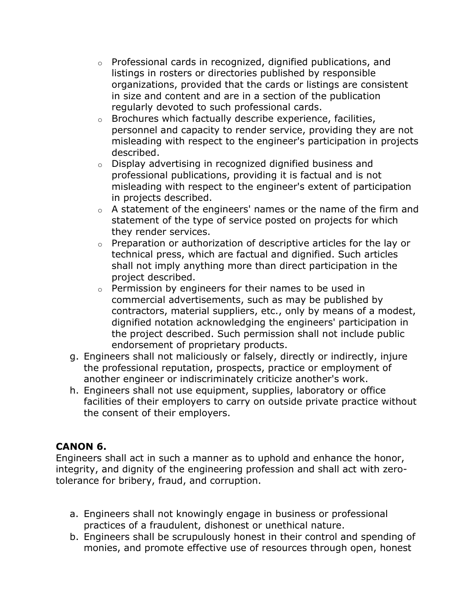- $\circ$  Professional cards in recognized, dignified publications, and Professional cards in recognized, dignified publications, and<br>listings in rosters or directories published by responsible listings in rosters or directories published by responsible<br>organizations, provided that the cards or listings are consistent<br>in size and content and are in a section of the publication in size and content and are in a section of the publication regularly devoted to such professional cards.
- $\circ$  Brochures which factually describe experience, facilities, Brochures which factually describe experience, facilities,<br>personnel and capacity to render service, providing they are not personnel and capacity to render service, providing they are not<br>misleading with respect to the engineer's participation in projects
- described.<br>© Display advertising in recognized dignified business and Display advertising in recognized dignified business and<br>professional publications, providing it is factual and is not professional publications, providing it is factual and is not<br>misleading with respect to the engineer's extent of participation<br>in projects described.
- in projects described.<br>  $\circ$  A statement of the engineers' names or the name of the firm and A statement of the engineers' names or the name of the firm and<br>statement of the type of service posted on projects for which<br>thev render services.
- they render services.<br>© Preparation or authorization of descriptive articles for the lay or Preparation or authorization of descriptive articles for the lay or<br>technical press, which are factual and dignified. Such articles technical press, which are factual and dignified. Such articles<br>shall not imply anything more than direct participation in the<br>project described.
- project described.<br>© Permission by engineers for their names to be used in Permission by engineers for their names to be used in<br>commercial advertisements, such as may be published by contractors, material suppliers, etc., only by means of a modest, contractors, material suppliers, etc., only by means of a modest,<br>dignified notation acknowledging the engineers' participation in dignified notation acknowledging the engineers' participation in<br>the project described. Such permission shall not include public endorsement of proprietary products.
- Engineers shall not maliciously or falsely, directly or indirectly, injure theEngineers shall not maliciously or falsely, directly or indirectly, injure<br>the professional reputation, prospects, practice or employment of another engineer or indiscriminately criticize another's work.
- another engineer or indiscriminately criticize another's work.<br>Engineers shall not use equipment, supplies, laboratory or office Engineers shall not use equipment, supplies, laboratory or office<br>facilities of their employers to carry on outside private practice without<br>the consent of their emplovers.

### **CANON 6.**

CANON 6.<br>Engineers shall act in such a manner as to uphold and enhance the honor, Engineers shall act in such a manner as to uphold and enhance the honor,<br>integrity, and dignity of the engineering profession and shall act with zero-<br>tolerance for briberv, fraud, and corruption.

- Engineers shall not knowingly engage in business or professional practices of a fraudulent, dishonest or unethical nature.
- practices of a fraudulent, dishonest or unethical nature.<br>Engineers shall be scrupulously honest in their control and spending of monies, and promote effective use of resources through open, honest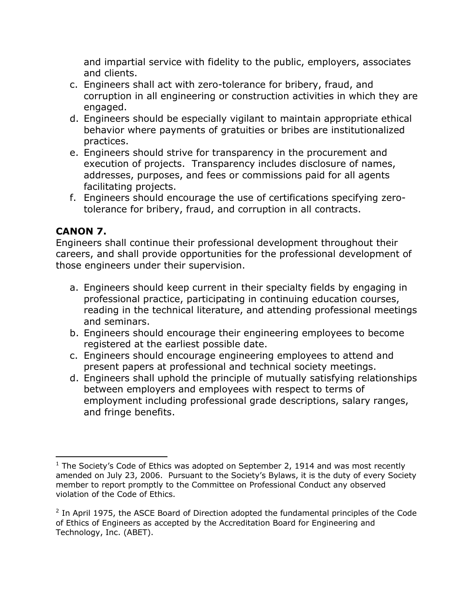and impartial service with fidelity to the public, employers, associates<br>and clients.

- and clients.<br>Engineers shall act with zero-tolerance for bribery, fraud, and Engineers shall act with zero-tolerance for bribery, fraud, and<br>corruption in all engineering or construction activities in which they are engaged.
- engaged.<br>Engineers should be especially vigilant to maintain appropriate ethical Engineers should be especially vigilant to maintain appropriate ethical<br>behavior where payments of gratuities or bribes are institutionalized practices.
- practices.<br>Engineers should strive for transparency in the procurement and Engineers should strive for transparency in the procurement and<br>execution of projects. Transparency includes disclosure of names, f projects. Transparency includes disclosure of names,<br>purposes, and fees or commissions paid for all agents addresses, purposes, anc<br>facilitating proiects.
- facilitating projects.<br>Engineers should encourage the use of certifications specifying zerotolerance for bribery, fraud, and corruption in all contracts.

### **CANON 7.**

CANON 7.<br>Engineers shall continue their professional development throughout their Engineers shall continue their professional development throughout their<br>careers, and shall provide opportunities for the professional development of those engineers under their supervision.

- Engineers should keep current in their specialty fields by engaging in professional practice, participating in continuing education courses, professional practice, participating in continuing education courses,<br>reading in the technical literature, and attending professional meetings<br>and seminars.
- and seminars.<br>b. Engineers should encourage their engineering employees to become<br>registered at the earliest possible date.
- registered at the earliest possible date.<br>Engineers should encourage engineering employees to attend and present papers at professional and technical society meetings.
- present papers at professional and technical society meetings.<br>Engineers shall uphold the principle of mutually satisfying relationships Engineers shall uphold the principle of mutually satisfying relatio<br>between employers and employees with respect to terms of between employers and employees with respect to terms of<br>employment including professional grade descriptions, salary ranges, loyment including pr<br>frinae benefits.

<sup>1</sup> The Society's Code of Ethics was adopted on September 2, 1914 and was most recently <sup>1</sup> The Society's Code of Ethics was adopted on September 2, 1914 and was most recently<br>amended on July 23, 2006. Pursuant to the Society's Bylaws, it is the duty of every Society amended on July 23, 2006. Pursuant to the Society's Bylaws, it is the duty of every Society<br>member to report promptly to the Committee on Professional Conduct any observed<br>violation of the Code of Ethics.

<sup>&</sup>lt;sup>2</sup> In April 1975, the ASCE Board of Direction adopted the fundamental principles of the Code - In April 1975, the ASCE Board of Direction adopted the fundamental principles of the Cod<br>of Ethics of Engineers as accepted by the Accreditation Board for Engineering and Technology, Inc. (ABET).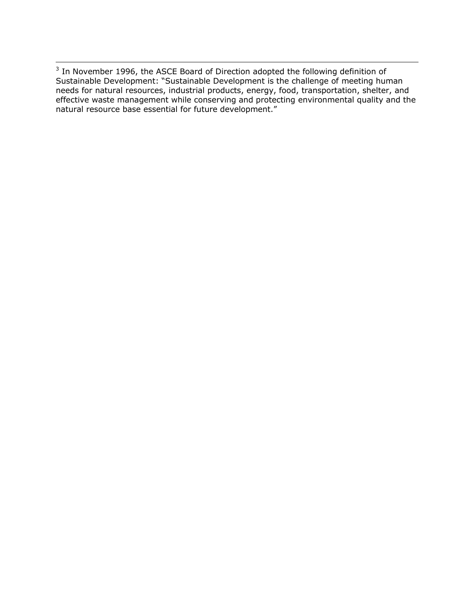<sup>3</sup> In November 1996, the ASCE Board of Direction adopted the following definition of<br>Sustainable Development: "Sustainable Development is the challenge of meeting human<br>needs for natural resources, industrial products, en needs for natural resources, industrial products, energy, food, transportation, shelter, and<br>effective waste management while conserving and protecting environmental quality and the<br>natural resource base essential for futu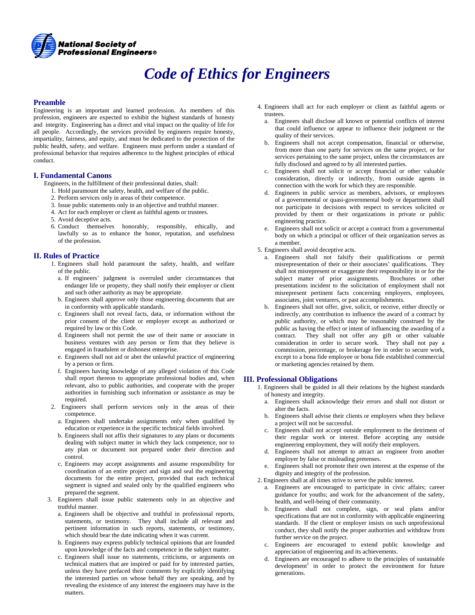

# *Code of Ethics for Engineers*

#### **Preamble**

Engineering is an important and learned profession. As members of this profession, engineers are expected to exhibit the highest standards of honesty and integrity. Engineering has a direct and vital impact on the quality of life for all people. Accordingly, the services provided by engineers require honesty, impartiality, fairness, and equity, and must be dedicated to the protection of the public health, safety, and welfare. Engineers must perform under a standard of professional behavior that requires adherence to the highest principles of ethical conduct.

#### **I. Fundamental Canons**

Engineers, in the fulfillment of their professional duties, shall:

- 1. Hold paramount the safety, health, and welfare of the public.
- 2. Perform services only in areas of their competence.
- 3. Issue public statements only in an objective and truthful manner.
- 4. Act for each employer or client as faithful agents or trustees.
- 5. Avoid deceptive acts.
- 6. Conduct themselves honorably, responsibly, ethically, and lawfully so as to enhance the honor, reputation, and usefulness of the profession.

#### **II. Rules of Practice**

- 1. Engineers shall hold paramount the safety, health, and welfare of the public.<br>
a. If engineers' judgment is overruled under circumstances that of the public.
	- endanger life or property, they shall notify their employer or client and such other authority as may be appropriate.
	- b. Engineers shall approve only those engineering documents that are in conformity with applicable standards.
	- c. Engineers shall not reveal facts, data, or information without the prior consent of the client or employer except as authorized or required by law or this Code.
	- d. Engineers shall not permit the use of their name or associate in business ventures with any person or firm that they believe is engaged in fraudulent or dishonest enterprise.
	- e. Engineers shall not aid or abet the unlawful practice of engineering by a person or firm.
	- f. Engineers having knowledge of any alleged violation of this Code shall report thereon to appropriate professional bodies and, when relevant, also to public authorities, and cooperate with the proper authorities in furnishing such information or assistance as may be required.
- 2. Engineers shall perform services only in the areas of their competence.
	- a. Engineers shall undertake assignments only when qualified by education or experience in the specific technical fields involved.
	- b. Engineers shall not affix their signatures to any plans or documents dealing with subject matter in which they lack competence, nor to any plan or document not prepared under their direction and control.
	- c. Engineers may accept assignments and assume responsibility for coordination of an entire project and sign and seal the engineering documents for the entire project, provided that each technical segment is signed and sealed only by the qualified engineers who prepared the segment.
- 3. Engineers shall issue public statements only in an objective and truthful manner.
	- a. Engineers shall be objective and truthful in professional reports, statements, or testimony. They shall include all relevant and pertinent information in such reports, statements, or testimony, which should bear the date indicating when it was current.
	- b. Engineers may express publicly technical opinions that are founded upon knowledge of the facts and competence in the subject matter.
	- c. Engineers shall issue no statements, criticisms, or arguments on technical matters that are inspired or paid for by interested parties, unless they have prefaced their comments by explicitly identifying the interested parties on whose behalf they are speaking, and by revealing the existence of any interest the engineers may have in the matters.
- 4. Engineers shall act for each employer or client as faithful agents or trustees.
	- a. Engineers shall disclose all known or potential conflicts of interest that could influence or appear to influence their judgment or the quality of their services.
	- b. Engineers shall not accept compensation, financial or otherwise, from more than one party for services on the same project, or for services pertaining to the same project, unless the circumstances are fully disclosed and agreed to by all interested parties.
	- c. Engineers shall not solicit or accept financial or other valuable consideration, directly or indirectly, from outside agents in connection with the work for which they are responsible.
	- Engineers in public service as members, advisors, or employees of a governmental or quasi-governmental body or department shall not participate in decisions with respect to services solicited or provided by them or their organizations in private or public engineering practice.
	- e. Engineers shall not solicit or accept a contract from a governmental body on which a principal or officer of their organization serves as a member.
- 5. Engineers shall avoid deceptive acts.
- a. Engineers shall not falsify their qualifications or permit ineers shall avoid deceptive acts.<br>Engineers shall not falsify their qualifications or permit<br>misrepresentation of their or their associates' qualifications. They shall not misrepresent or exaggerate their responsibility in or for the subject matter of prior assignments. Brochures or other presentations incident to the solicitation of employment shall not misrepresent pertinent facts concerning employers, employees, associates, joint venturers, or past accomplishments.
	- b. Engineers shall not offer, give, solicit, or receive, either directly or indirectly, any contribution to influence the award of a contract by public authority, or which may be reasonably construed by the public as having the effect or intent of influencing the awarding of a contract. They shall not offer any gift or other valuable consideration in order to secure work. They shall not pay a commission, percentage, or brokerage fee in order to secure work, except to a bona fide employee or bona fide established commercial or marketing agencies retained by them.

#### **III. Professional Obligations**

- 1. Engineers shall be guided in all their relations by the highest standards of honesty and integrity.
- a. Engineers shall acknowledge their errors and shall not distort or alter the facts.
- b. Engineers shall advise their clients or employers when they believe a project will not be successful.
- Engineers shall not accept outside employment to the detriment of their regular work or interest. Before accepting any outside engineering employment, they will notify their employers.
- d. Engineers shall not attempt to attract an engineer from another employer by false or misleading pretenses.
- e. Engineers shall not promote their own interest at the expense of the dignity and integrity of the profession.
- 2. Engineers shall at all times strive to serve the public interest.
	- a. Engineers are encouraged to participate in civic affairs; career guidance for youths; and work for the advancement of the safety, health, and well-being of their community.
	- b. Engineers shall not complete, sign, or seal plans and/or specifications that are not in conformity with applicable engineering standards. If the client or employer insists on such unprofessional conduct, they shall notify the proper authorities and withdraw from further service on the project.
	- c. Engineers are encouraged to extend public knowledge and appreciation of engineering and its achievements.
	- Engineers are encouraged to adhere to the principles of sustainable development<sup>1</sup> in order to protect the environment for future generations.